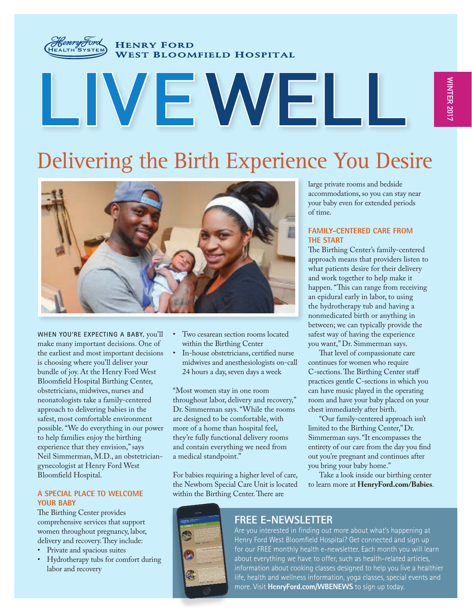

**HENRY FORD WEST BLOOMFIELD HOSPITAL** 

# **LIVEWELL**

# Delivering the Birth Experience You Desire



**WHEN YOU'RE EXPECTING A BABY,** you'll make many important decisions. One of the earliest and most important decisions is choosing where you'll deliver your bundle of joy. At the Henry Ford West Bloomfield Hospital Birthing Center, obstetricians, midwives, nurses and neonatologists take a family-centered approach to delivering babies in the safest, most comfortable environment possible. "We do everything in our power to help families enjoy the birthing experience that they envision," says Neil Simmerman, M.D., an obstetriciangynecologist at Henry Ford West Bloomfield Hospital.

#### **A SPECIAL PLACE TO WELCOME YOUR BABY**

The Birthing Center provides comprehensive services that support women throughout pregnancy, labor, delivery and recovery. They include:

- Private and spacious suites
- Hydrotherapy tubs for comfort during labor and recovery
- Two cesarean section rooms located within the Birthing Center
- In-house obstetricians, certified nurse midwives and anesthesiologists on-call 24 hours a day, seven days a week

"Most women stay in one room throughout labor, delivery and recovery," Dr. Simmerman says. "While the rooms are designed to be comfortable, with more of a home than hospital feel, they're fully functional delivery rooms and contain everything we need from a medical standpoint."

For babies requiring a higher level of care, the Newborn Special Care Unit is located within the Birthing Center. There are

large private rooms and bedside accommodations, so you can stay near your baby even for extended periods of time.

#### **FAMILY-CENTERED CARE FROM THE START**

The Birthing Center's family-centered approach means that providers listen to what patients desire for their delivery and work together to help make it happen. "This can range from receiving an epidural early in labor, to using the hydrotherapy tub and having a nonmedicated birth or anything in between; we can typically provide the safest way of having the experience you want," Dr. Simmerman says.

That level of compassionate care continues for women who require C-sections. The Birthing Center staff practices gentle C-sections in which you can have music played in the operating room and have your baby placed on your chest immediately after birth.

"Our family-centered approach isn't limited to the Birthing Center," Dr. Simmerman says. "It encompasses the entirety of our care from the day you find out you're pregnant and continues after you bring your baby home."

Take a look inside our birthing center to learn more at **HenryFord.com/Babies**.

#### **FREE E-NEWSLETTER**

Are you interested in finding out more about what's happening at Henry Ford West Bloomfield Hospital? Get connected and sign up for our FREE monthly health e-newsletter. Each month you will learn about everything we have to offer, such as health-related articles, information about cooking classes designed to help you live a healthier life, health and wellness information, yoga classes, special events and more. Visit **HenryFord.com/WBENEWS** to sign up today.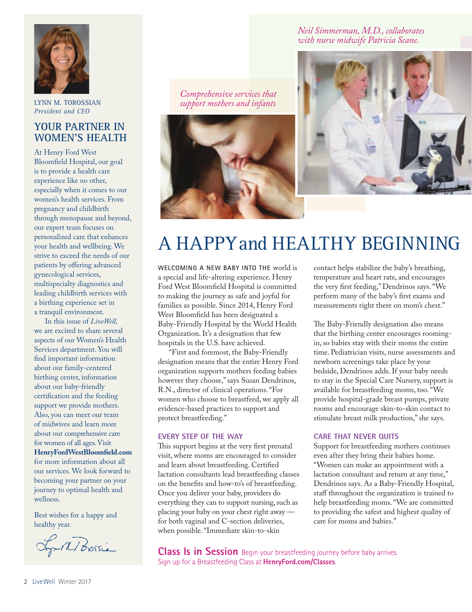

**LYNN M. TOROSSIAN** *President and CEO*

#### **YOUR PARTNER IN WOMEN'S HEALTH**

At Henry Ford West Bloomfield Hospital, our goal is to provide a health care experience like no other, especially when it comes to our women's health services. From pregnancy and childbirth through menopause and beyond, our expert team focuses on personalized care that enhances your health and wellbeing. We strive to exceed the needs of our patients by offering advanced gynecological services, multispecialty diagnostics and leading childbirth services with a birthing experience set in a tranquil environment.

In this issue of *LiveWell,* we are excited to share several aspects of our Women's Health Services department. You will find important information about our family-centered birthing center, information about our baby-friendly certification and the feeding support we provide mothers. Also, you can meet our team of midwives and learn more about our comprehensive care for women of all ages. Visit **HenryFordWestBloomfield.com** for more information about all our services. We look forward to becoming your partner on your journey to optimal health and wellness.

Best wishes for a happy and healthy year.

Frank Borsia

*Comprehensive services that support mothers and infants*



#### *Neil Simmerman, M.D., collaborates with nurse midwife Patricia Scane.*



# A HAPPY and HEALTHY BEGINNING

**WELCOMING A NEW BABY INTO THE** world is a special and life-altering experience. Henry Ford West Bloomfield Hospital is committed to making the journey as safe and joyful for families as possible. Since 2014, Henry Ford West Bloomfield has been designated a Baby-Friendly Hospital by the World Health Organization. It's a designation that few hospitals in the U.S. have achieved.

"First and foremost, the Baby-Friendly designation means that the entire Henry Ford organization supports mothers feeding babies however they choose," says Susan Dendrinos, R.N., director of clinical operations. "For women who choose to breastfeed, we apply all evidence-based practices to support and protect breastfeeding."

#### **EVERY STEP OF THE WAY**

This support begins at the very first prenatal visit, where moms are encouraged to consider and learn about breastfeeding. Certified lactation consultants lead breastfeeding classes on the benefits and how-to's of breastfeeding. Once you deliver your baby, providers do everything they can to support nursing, such as placing your baby on your chest right away for both vaginal and C-section deliveries, when possible. "Immediate skin-to-skin

contact helps stabilize the baby's breathing, temperature and heart rate, and encourages the very first feeding," Dendrinos says. "We perform many of the baby's first exams and measurements right there on mom's chest."

The Baby-Friendly designation also means that the birthing center encourages roomingin, so babies stay with their moms the entire time. Pediatrician visits, nurse assessments and newborn screenings take place by your bedside, Dendrinos adds. If your baby needs to stay in the Special Care Nursery, support is available for breastfeeding moms, too. "We provide hospital-grade breast pumps, private rooms and encourage skin-to-skin contact to stimulate breast milk production," she says.

#### **CARE THAT NEVER QUITS**

Support for breastfeeding mothers continues even after they bring their babies home. "Women can make an appointment with a lactation consultant and return at any time," Dendrinos says. As a Baby-Friendly Hospital, staff throughout the organization is trained to help breastfeeding moms. "We are committed to providing the safest and highest quality of care for moms and babies."

**Class Is in Session** Begin your breastfeeding journey before baby arrives. Sign up for a Breastfeeding Class at **HenryFord.com/Classes**.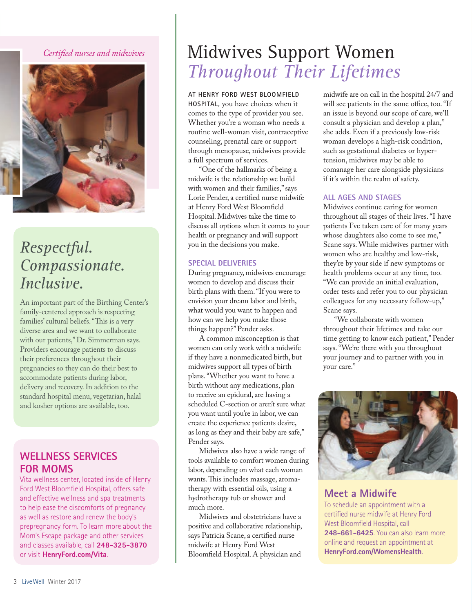#### *Certified nurses and midwives*



# *Respectful. Compassionate. Inclusive.*

An important part of the Birthing Center's family-centered approach is respecting families' cultural beliefs. "This is a very diverse area and we want to collaborate with our patients," Dr. Simmerman says. Providers encourage patients to discuss their preferences throughout their pregnancies so they can do their best to accommodate patients during labor, delivery and recovery. In addition to the standard hospital menu, vegetarian, halal and kosher options are available, too.

#### **WELLNESS SERVICES FOR MOMS**

Vita wellness center, located inside of Henry Ford West Bloomfield Hospital, offers safe and effective wellness and spa treatments to help ease the discomforts of pregnancy as well as restore and renew the body's prepregnancy form. To learn more about the Mom's Escape package and other services and classes available, call **248-325-3870**  or visit **HenryFord.com/Vita**.

# Midwives Support Women *Throughout Their Lifetimes*

**AT HENRY FORD WEST BLOOMFIELD HOSPITAL,** you have choices when it comes to the type of provider you see. Whether you're a woman who needs a routine well-woman visit, contraceptive counseling, prenatal care or support through menopause, midwives provide a full spectrum of services.

"One of the hallmarks of being a midwife is the relationship we build with women and their families," says Lorie Pender, a certified nurse midwife at Henry Ford West Bloomfield Hospital. Midwives take the time to discuss all options when it comes to your health or pregnancy and will support you in the decisions you make.

#### **SPECIAL DELIVERIES**

During pregnancy, midwives encourage women to develop and discuss their birth plans with them. "If you were to envision your dream labor and birth, what would you want to happen and how can we help you make those things happen?" Pender asks.

A common misconception is that women can only work with a midwife if they have a nonmedicated birth, but midwives support all types of birth plans. "Whether you want to have a birth without any medications, plan to receive an epidural, are having a scheduled C-section or aren't sure what you want until you're in labor, we can create the experience patients desire, as long as they and their baby are safe," Pender says.

Midwives also have a wide range of tools available to comfort women during labor, depending on what each woman wants. This includes massage, aromatherapy with essential oils, using a hydrotherapy tub or shower and much more.

Midwives and obstetricians have a positive and collaborative relationship, says Patricia Scane, a certified nurse midwife at Henry Ford West Bloomfield Hospital. A physician and

midwife are on call in the hospital 24/7 and will see patients in the same office, too. "If an issue is beyond our scope of care, we'll consult a physician and develop a plan," she adds. Even if a previously low-risk woman develops a high-risk condition, such as gestational diabetes or hypertension, midwives may be able to comanage her care alongside physicians if it's within the realm of safety.

#### **ALL AGES AND STAGES**

Midwives continue caring for women throughout all stages of their lives. "I have patients I've taken care of for many years whose daughters also come to see me," Scane says. While midwives partner with women who are healthy and low-risk, they're by your side if new symptoms or health problems occur at any time, too. "We can provide an initial evaluation, order tests and refer you to our physician colleagues for any necessary follow-up," Scane says.

"We collaborate with women throughout their lifetimes and take our time getting to know each patient," Pender says. "We're there with you throughout your journey and to partner with you in your care."



**Meet a Midwife** To schedule an appointment with a certified nurse midwife at Henry Ford West Bloomfield Hospital, call **248-661-6425**. You can also learn more online and request an appointment at **HenryFord.com/WomensHealth**.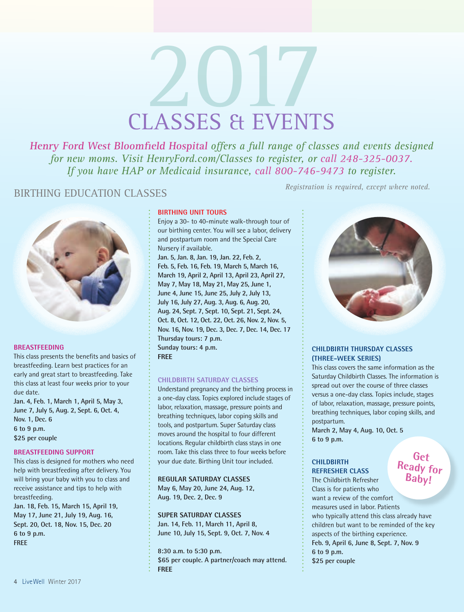# 2017

**Henry Ford West Bloomfield Hospital** *offers a full range of classes and events designed for new moms. Visit HenryFord.com/Classes to register, or call 248-325-0037. If you have HAP or Medicaid insurance, call 800-746-9473 to register.*

## BIRTHING EDUCATION CLASSES *Registration is required, except where noted.*



#### **BREASTFEEDING**

This class presents the benefits and basics of breastfeeding. Learn best practices for an early and great start to breastfeeding. Take this class at least four weeks prior to your due date.

**Jan. 4, Feb. 1, March 1, April 5, May 3, June 7, July 5, Aug. 2, Sept. 6, Oct. 4, Nov. 1, Dec. 6 6 to 9 p.m. \$25 per couple**

#### **BREASTFEEDING SUPPORT**

This class is designed for mothers who need help with breastfeeding after delivery. You will bring your baby with you to class and receive assistance and tips to help with breastfeeding.

**Jan. 18, Feb. 15, March 15, April 19, May 17, June 21, July 19, Aug. 16, Sept. 20, Oct. 18, Nov. 15, Dec. 20 6 to 9 p.m. FREE**

#### **BIRTHING UNIT TOURS**

Enjoy a 30- to 40-minute walk-through tour of our birthing center. You will see a labor, delivery and postpartum room and the Special Care Nursery if available.

**Jan. 5, Jan. 8, Jan. 19, Jan. 22, Feb. 2, Feb. 5, Feb. 16, Feb. 19, March 5, March 16, March 19, April 2, April 13, April 23, April 27, May 7, May 18, May 21, May 25, June 1, June 4, June 15, June 25, July 2, July 13, July 16, July 27, Aug. 3, Aug. 6, Aug. 20, Aug. 24, Sept. 7, Sept. 10, Sept. 21, Sept. 24, Oct. 8, Oct. 12, Oct. 22, Oct. 26, Nov. 2, Nov. 5, Nov. 16, Nov. 19, Dec. 3, Dec. 7, Dec. 14, Dec. 17 Thursday tours: 7 p.m. Sunday tours: 4 p.m. FREE**

#### **CHILDBIRTH SATURDAY CLASSES**

Understand pregnancy and the birthing process in a one-day class. Topics explored include stages of labor, relaxation, massage, pressure points and breathing techniques, labor coping skills and tools, and postpartum. Super Saturday class moves around the hospital to four different locations. Regular childbirth class stays in one room. Take this class three to four weeks before your due date. Birthing Unit tour included.

**REGULAR SATURDAY CLASSES** 

**May 6, May 20, June 24, Aug. 12, Aug. 19, Dec. 2, Dec. 9** 

#### **SUPER SATURDAY CLASSES**

**Jan. 14, Feb. 11, March 11, April 8, June 10, July 15, Sept. 9, Oct. 7, Nov. 4** 

**8:30 a.m. to 5:30 p.m. \$65 per couple. A partner/coach may attend. FREE**



#### **CHILDBIRTH THURSDAY CLASSES (THREE-WEEK SERIES)**

This class covers the same information as the Saturday Childbirth Classes. The information is spread out over the course of three classes versus a one-day class. Topics include, stages of labor, relaxation, massage, pressure points, breathing techniques, labor coping skills, and postpartum.

**March 2, May 4, Aug. 10, Oct. 5 6 to 9 p.m.** 

### **CHILDBIRTH**

### **REFRESHER CLASS**

**Get Ready for Baby!**

The Childbirth Refresher Class is for patients who want a review of the comfort measures used in labor. Patients who typically attend this class already have children but want to be reminded of the key aspects of the birthing experience. **Feb. 9, April 6, June 8, Sept. 7, Nov. 9 6 to 9 p.m. \$25 per couple**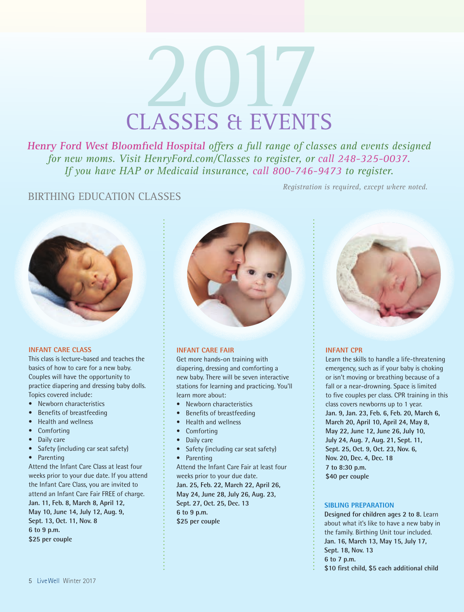# 2017

**Henry Ford West Bloomfield Hospital** *offers a full range of classes and events designed for new moms. Visit HenryFord.com/Classes to register, or call 248-325-0037. If you have HAP or Medicaid insurance, call 800-746-9473 to register.*

#### BIRTHING EDUCATION CLASSES



#### **INFANT CARE CLASS**

This class is lecture-based and teaches the basics of how to care for a new baby. Couples will have the opportunity to practice diapering and dressing baby dolls. Topics covered include:

- Newborn characteristics
- Benefits of breastfeeding
- Health and wellness
- **Comforting**
- Daily care
- Safety (including car seat safety)
- Parenting

Attend the Infant Care Class at least four weeks prior to your due date. If you attend the Infant Care Class, you are invited to attend an Infant Care Fair FREE of charge. **Jan. 11, Feb. 8, March 8, April 12, May 10, June 14, July 12, Aug. 9, Sept. 13, Oct. 11, Nov. 8 6 to 9 p.m. \$25 per couple** 



#### **INFANT CARE FAIR**

Get more hands-on training with diapering, dressing and comforting a new baby. There will be seven interactive stations for learning and practicing. You'll learn more about:

- Newborn characteristics
- Benefits of breastfeeding
- Health and wellness
- Comforting
- Daily care
- Safety (including car seat safety)
- Parenting

Attend the Infant Care Fair at least four weeks prior to your due date. **Jan. 25, Feb. 22, March 22, April 26, May 24, June 28, July 26, Aug. 23, Sept. 27, Oct. 25, Dec. 13 6 to 9 p.m.**

**\$25 per couple**



#### **INFANT CPR**

*Registration is required, except where noted.*

Learn the skills to handle a life-threatening emergency, such as if your baby is choking or isn't moving or breathing because of a fall or a near-drowning. Space is limited to five couples per class. CPR training in this class covers newborns up to 1 year. **Jan. 9, Jan. 23, Feb. 6, Feb. 20, March 6, March 20, April 10, April 24, May 8, May 22, June 12, June 26, July 10, July 24, Aug. 7, Aug. 21, Sept. 11, Sept. 25, Oct. 9, Oct. 23, Nov. 6, Nov. 20, Dec. 4, Dec. 18 7 to 8:30 p.m. \$40 per couple**

#### **SIBLING PREPARATION**

**Designed for children ages 2 to 8.** Learn about what it's like to have a new baby in the family. Birthing Unit tour included. **Jan. 16, March 13, May 15, July 17, Sept. 18, Nov. 13 6 to 7 p.m. \$10 first child, \$5 each additional child**